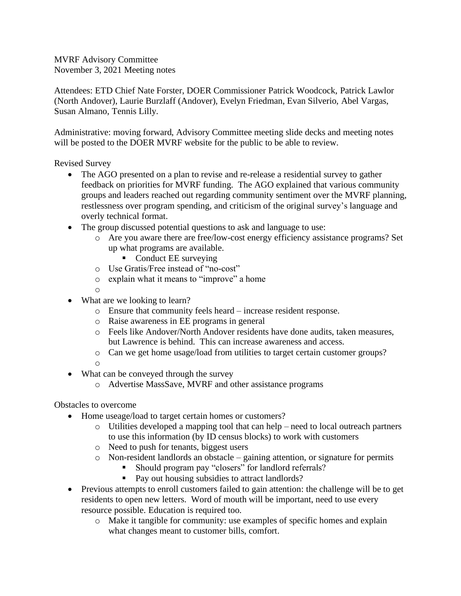MVRF Advisory Committee November 3, 2021 Meeting notes

Attendees: ETD Chief Nate Forster, DOER Commissioner Patrick Woodcock, Patrick Lawlor (North Andover), Laurie Burzlaff (Andover), Evelyn Friedman, Evan Silverio, Abel Vargas, Susan Almano, Tennis Lilly.

Administrative: moving forward, Advisory Committee meeting slide decks and meeting notes will be posted to the DOER MVRF website for the public to be able to review.

Revised Survey

- The AGO presented on a plan to revise and re-release a residential survey to gather feedback on priorities for MVRF funding. The AGO explained that various community groups and leaders reached out regarding community sentiment over the MVRF planning, restlessness over program spending, and criticism of the original survey's language and overly technical format.
- The group discussed potential questions to ask and language to use:
	- o Are you aware there are free/low-cost energy efficiency assistance programs? Set up what programs are available.
		- Conduct EE surveying
	- o Use Gratis/Free instead of "no-cost"
	- o explain what it means to "improve" a home
	- o
- What are we looking to learn?
	- o Ensure that community feels heard increase resident response.
	- o Raise awareness in EE programs in general
	- o Feels like Andover/North Andover residents have done audits, taken measures, but Lawrence is behind. This can increase awareness and access.
	- o Can we get home usage/load from utilities to target certain customer groups?
	- o
- What can be conveyed through the survey
	- o Advertise MassSave, MVRF and other assistance programs

Obstacles to overcome

- Home useage/load to target certain homes or customers?
	- o Utilities developed a mapping tool that can help need to local outreach partners to use this information (by ID census blocks) to work with customers
	- o Need to push for tenants, biggest users
	- o Non-resident landlords an obstacle gaining attention, or signature for permits
		- Should program pay "closers" for landlord referrals?
		- Pay out housing subsidies to attract landlords?
- Previous attempts to enroll customers failed to gain attention: the challenge will be to get residents to open new letters. Word of mouth will be important, need to use every resource possible. Education is required too.
	- o Make it tangible for community: use examples of specific homes and explain what changes meant to customer bills, comfort.